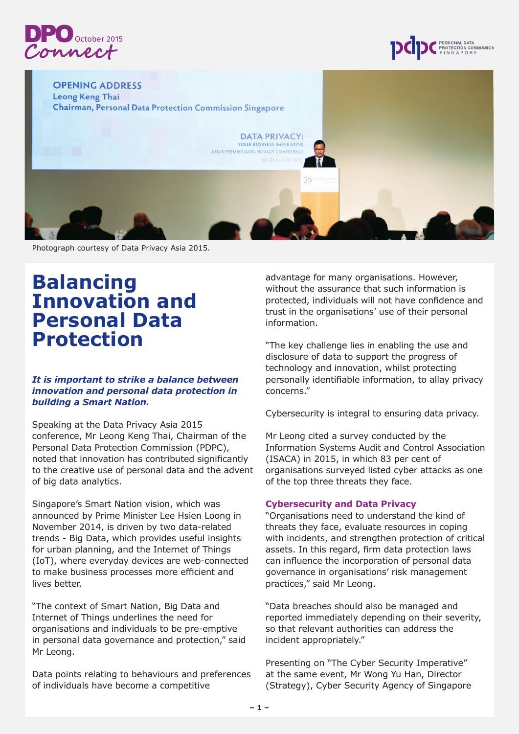



**OPENING ADDRESS** Leong Keng Thai **Chairman, Personal Data Protection Commission Singapore DATA PRIVACY:** YOUR BUSINESS IMPERATIVE **ASIA'S PREMIER DATA PRIVACY CONFERENC** Photograph courtesy of Data Privacy Asia 2015.

## **Balancing Innovation and Personal Data Protection**

## *It is important to strike a balance between innovation and personal data protection in building a Smart Nation.*

Speaking at the Data Privacy Asia 2015 conference, Mr Leong Keng Thai, Chairman of the Personal Data Protection Commission (PDPC), noted that innovation has contributed significantly to the creative use of personal data and the advent of big data analytics.

Singapore's Smart Nation vision, which was announced by Prime Minister Lee Hsien Loong in November 2014, is driven by two data-related trends - Big Data, which provides useful insights for urban planning, and the Internet of Things (IoT), where everyday devices are web-connected to make business processes more efficient and lives better.

"The context of Smart Nation, Big Data and Internet of Things underlines the need for organisations and individuals to be pre-emptive in personal data governance and protection," said Mr Leong.

Data points relating to behaviours and preferences of individuals have become a competitive

advantage for many organisations. However, without the assurance that such information is protected, individuals will not have confidence and trust in the organisations' use of their personal information.

"The key challenge lies in enabling the use and disclosure of data to support the progress of technology and innovation, whilst protecting personally identifiable information, to allay privacy concerns."

Cybersecurity is integral to ensuring data privacy.

Mr Leong cited a survey conducted by the Information Systems Audit and Control Association (ISACA) in 2015, in which 83 per cent of organisations surveyed listed cyber attacks as one of the top three threats they face.

## **Cybersecurity and Data Privacy**

"Organisations need to understand the kind of threats they face, evaluate resources in coping with incidents, and strengthen protection of critical assets. In this regard, firm data protection laws can influence the incorporation of personal data governance in organisations' risk management practices," said Mr Leong.

"Data breaches should also be managed and reported immediately depending on their severity, so that relevant authorities can address the incident appropriately."

Presenting on "The Cyber Security Imperative" at the same event, Mr Wong Yu Han, Director (Strategy), Cyber Security Agency of Singapore